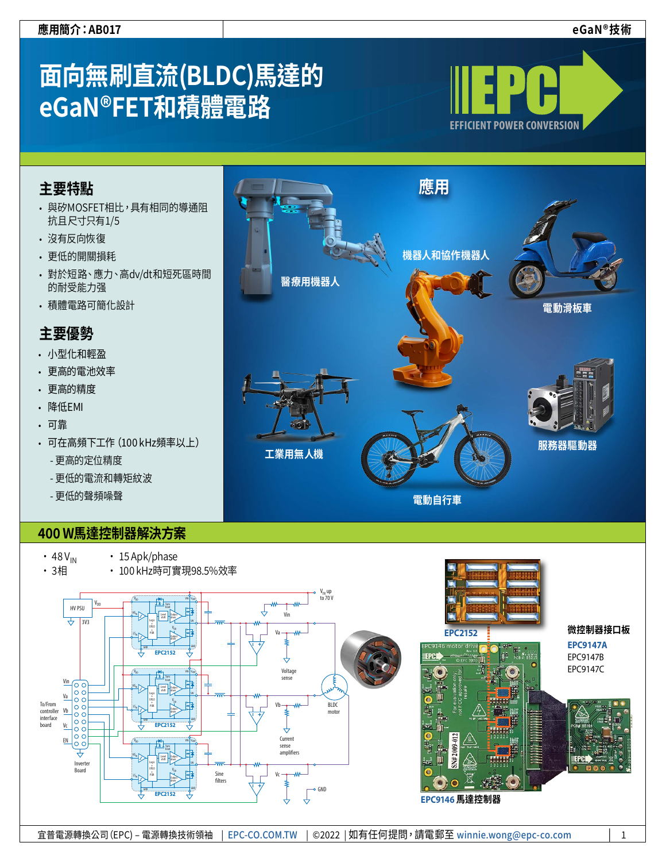**微控制器接口板 [EPC9147A](https://epc-co.com/epc/jp/製品/デモ・ボード/EPC9147a.aspx)** EPC9147B EPC9147C

# **面向無刷直流(BLDC)馬達的 eGaN®FET和積體電路**



# **主要特點**

- 與矽MOSFET相比,具有相同的導通阻 抗且尺寸只有1/5
- 沒有反向恢復
- 更低的開關損耗
- 對於短路、應力、高dv/dt和短死區時間 的耐受能力强
- 積體電路可簡化設計

# **主要優勢**

- 小型化和輕盈
- 更高的電池效率
- 更高的精度
- 降低EMI
- 可靠
- 可在高頻下工作(100 kHz頻率以上)
	- 更高的定位精度
	- 更低的電流和轉矩紋波
	- 更低的聲頻噪聲

# **400 W馬達控制器解決方案**

- $\cdot$  48  $V_{IN}$
- 3相
- 15 Apk/phase • 100 kHz時可實現98.5%效率





**電動自行車**

**[EPC2152](https://epc-co.com/epc/tw/產品/eGaNFET及集成電路/EPC2152.aspx)**